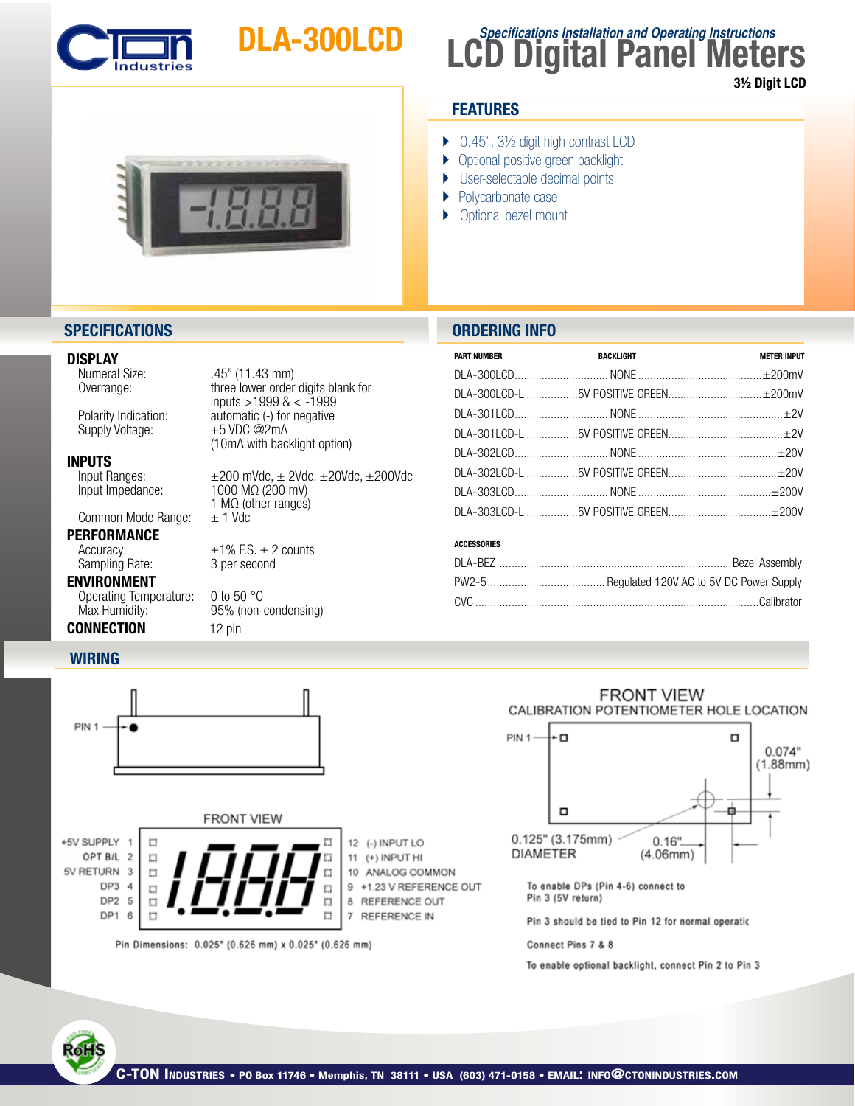

# DLA-300LCD

## **LCD Digital Panel Meters Specifications Installation and Operating Instructions**

3½ Digit LCD



## **FEATURES**

- ▶ 0.45", 3½ digit high contrast LCD
- **Optional positive green backlight**
- ▶ User-selectable decimal points
- } Polycarbonate case
- ▶ Optional bezel mount

## **SPECIFICATIONS ORDERING INFO**

## **DISPLAY**<br>Numeral Size:

 Overrange: three lower order digits blank for 

 $inputs >1999$  &  $< -1999$ <br>Polarity Indication: automatic (-) for negative Supply Voltage:

**INPUTS**<br>Input Ranges:

Common Mode Range:

## **PERFORMANCE**<br>Accuracy: Sampling Rate:

ENVIRONMENT

**WIRING**

Operating Temperature: 0 to 50 °C Max Humidity: 95% (non-condensing) **CONNECTION** 12 pin

## Input Ranges:  $\pm 200$  mVdc,  $\pm 20d$ c,  $\pm 20V$ dc,  $\pm 200$ Vdc<br>Input Impedance:  $1000$  M $\Omega$  (200 mV) 1000 MΩ (200 mV) 1 M $\Omega$  (other ranges)<br> $\pm$  1 Vdc

automatic (-) for negative  $+5$  VDC @2mA

 (10mA with backlight option)

 $\pm$ 1% F.S.  $\pm$  2 counts<br>3 per second

 $.45"$  (11.43 mm)

| <b>PART NUMBER</b> | <b>BACKLIGHT</b> | <b>METER INPUT</b> |
|--------------------|------------------|--------------------|
|                    |                  |                    |
|                    |                  |                    |
|                    |                  |                    |
|                    |                  |                    |
|                    |                  |                    |
|                    |                  |                    |
|                    |                  |                    |
|                    |                  |                    |

## ACCESSORIES



Pin Dimensions: 0.025\* (0.626 mm) x 0.025\* (0.626 mm)

E.

7 REFERENCE IN

### **FRONT VIEW** CALIBRATION POTENTIOMETER HOLE LOCATION



To enable DPs (Pin 4-6) connect to Pin 3 (5V return)

Pin 3 should be tied to Pin 12 for normal operatic

Connect Pins 7 & 8

To enable optional backlight, connect Pin 2 to Pin 3



DP1 6 t"i